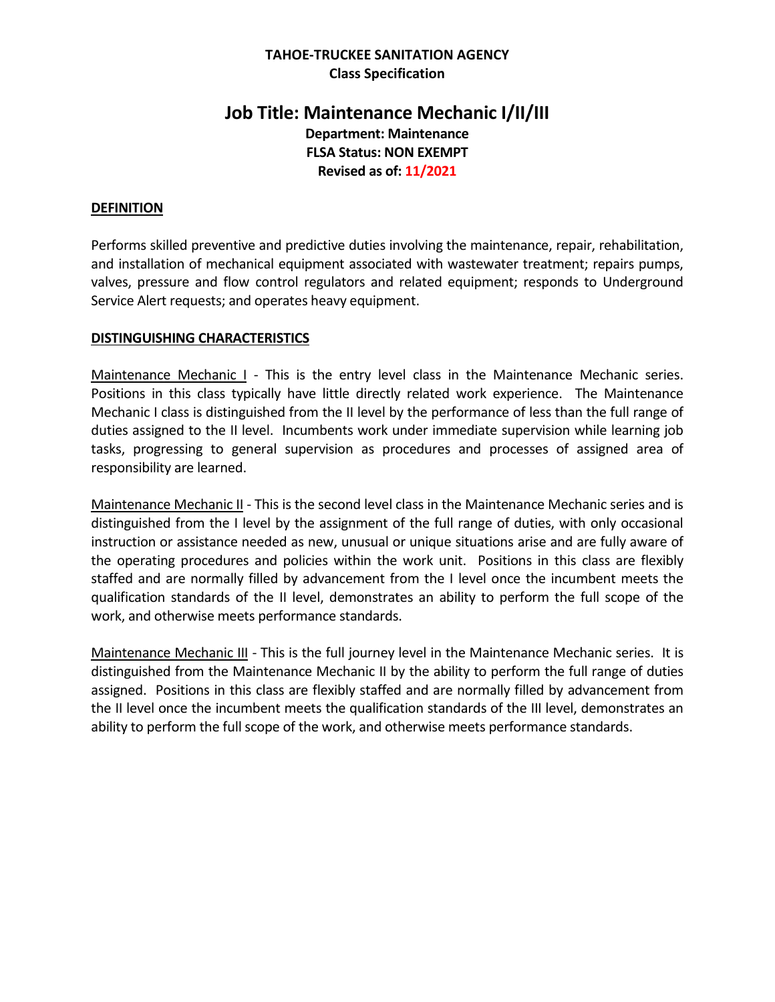## **TAHOE-TRUCKEE SANITATION AGENCY Class Specification**

# **Job Title: Maintenance Mechanic I/II/III Department: Maintenance FLSA Status: NON EXEMPT Revised as of: 11/2021**

## **DEFINITION**

Performs skilled preventive and predictive duties involving the maintenance, repair, rehabilitation, and installation of mechanical equipment associated with wastewater treatment; repairs pumps, valves, pressure and flow control regulators and related equipment; responds to Underground Service Alert requests; and operates heavy equipment.

## **DISTINGUISHING CHARACTERISTICS**

Maintenance Mechanic I - This is the entry level class in the Maintenance Mechanic series. Positions in this class typically have little directly related work experience. The Maintenance Mechanic I class is distinguished from the II level by the performance of less than the full range of duties assigned to the II level. Incumbents work under immediate supervision while learning job tasks, progressing to general supervision as procedures and processes of assigned area of responsibility are learned.

Maintenance Mechanic II - This is the second level class in the Maintenance Mechanic series and is distinguished from the I level by the assignment of the full range of duties, with only occasional instruction or assistance needed as new, unusual or unique situations arise and are fully aware of the operating procedures and policies within the work unit. Positions in this class are flexibly staffed and are normally filled by advancement from the I level once the incumbent meets the qualification standards of the II level, demonstrates an ability to perform the full scope of the work, and otherwise meets performance standards.

Maintenance Mechanic III - This is the full journey level in the Maintenance Mechanic series. It is distinguished from the Maintenance Mechanic II by the ability to perform the full range of duties assigned. Positions in this class are flexibly staffed and are normally filled by advancement from the II level once the incumbent meets the qualification standards of the III level, demonstrates an ability to perform the full scope of the work, and otherwise meets performance standards.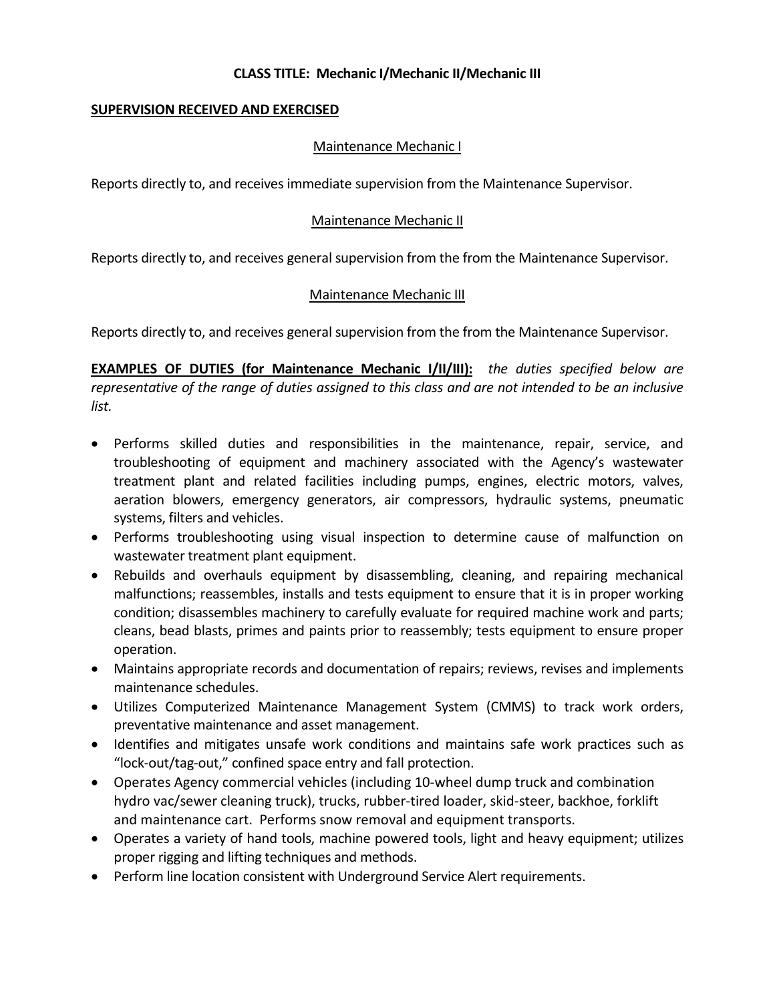## **SUPERVISION RECEIVED AND EXERCISED**

## Maintenance Mechanic I

Reports directly to, and receives immediate supervision from the Maintenance Supervisor.

## Maintenance Mechanic II

Reports directly to, and receives general supervision from the from the Maintenance Supervisor.

## Maintenance Mechanic III

Reports directly to, and receives general supervision from the from the Maintenance Supervisor.

**EXAMPLES OF DUTIES (for Maintenance Mechanic I/II/III):** *the duties specified below are representative of the range of duties assigned to this class and are not intended to be an inclusive list.*

- Performs skilled duties and responsibilities in the maintenance, repair, service, and troubleshooting of equipment and machinery associated with the Agency's wastewater treatment plant and related facilities including pumps, engines, electric motors, valves, aeration blowers, emergency generators, air compressors, hydraulic systems, pneumatic systems, filters and vehicles.
- Performs troubleshooting using visual inspection to determine cause of malfunction on wastewater treatment plant equipment.
- Rebuilds and overhauls equipment by disassembling, cleaning, and repairing mechanical malfunctions; reassembles, installs and tests equipment to ensure that it is in proper working condition; disassembles machinery to carefully evaluate for required machine work and parts; cleans, bead blasts, primes and paints prior to reassembly; tests equipment to ensure proper operation.
- Maintains appropriate records and documentation of repairs; reviews, revises and implements maintenance schedules.
- Utilizes Computerized Maintenance Management System (CMMS) to track work orders, preventative maintenance and asset management.
- Identifies and mitigates unsafe work conditions and maintains safe work practices such as "lock-out/tag-out," confined space entry and fall protection.
- Operates Agency commercial vehicles (including 10-wheel dump truck and combination hydro vac/sewer cleaning truck), trucks, rubber-tired loader, skid-steer, backhoe, forklift and maintenance cart. Performs snow removal and equipment transports.
- Operates a variety of hand tools, machine powered tools, light and heavy equipment; utilizes proper rigging and lifting techniques and methods.
- Perform line location consistent with Underground Service Alert requirements.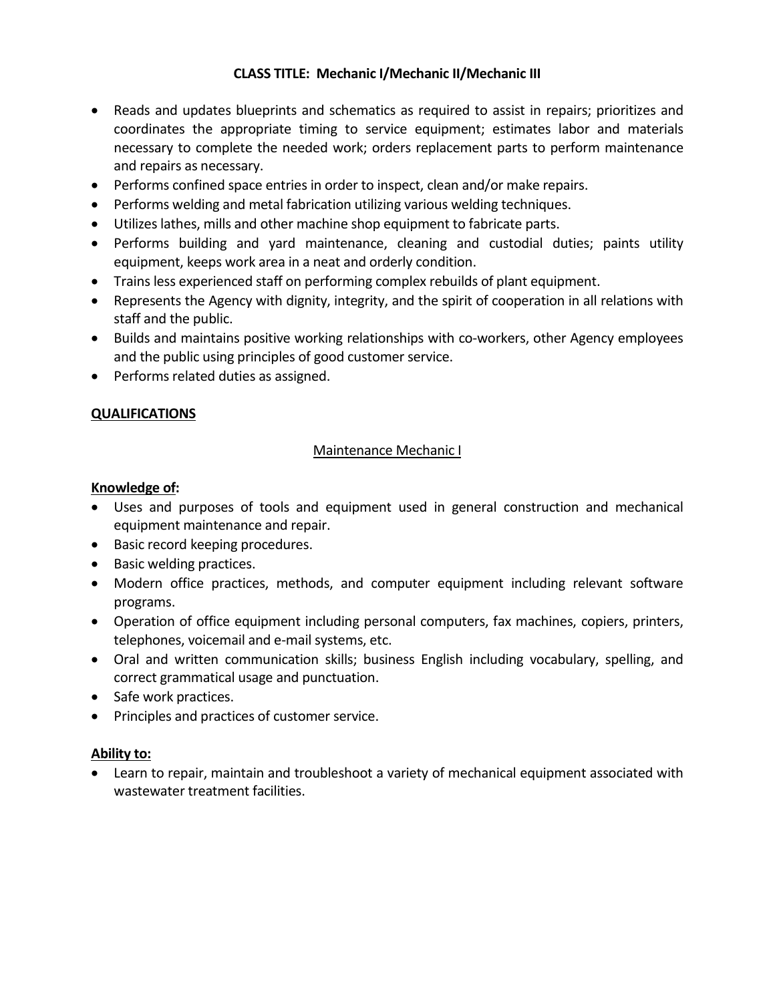- Reads and updates blueprints and schematics as required to assist in repairs; prioritizes and coordinates the appropriate timing to service equipment; estimates labor and materials necessary to complete the needed work; orders replacement parts to perform maintenance and repairs as necessary.
- Performs confined space entries in order to inspect, clean and/or make repairs.
- Performs welding and metal fabrication utilizing various welding techniques.
- Utilizes lathes, mills and other machine shop equipment to fabricate parts.
- Performs building and yard maintenance, cleaning and custodial duties; paints utility equipment, keeps work area in a neat and orderly condition.
- Trains less experienced staff on performing complex rebuilds of plant equipment.
- Represents the Agency with dignity, integrity, and the spirit of cooperation in all relations with staff and the public.
- Builds and maintains positive working relationships with co-workers, other Agency employees and the public using principles of good customer service.
- Performs related duties as assigned.

## **QUALIFICATIONS**

### Maintenance Mechanic I

### **Knowledge of:**

- Uses and purposes of tools and equipment used in general construction and mechanical equipment maintenance and repair.
- Basic record keeping procedures.
- Basic welding practices.
- Modern office practices, methods, and computer equipment including relevant software programs.
- Operation of office equipment including personal computers, fax machines, copiers, printers, telephones, voicemail and e-mail systems, etc.
- Oral and written communication skills; business English including vocabulary, spelling, and correct grammatical usage and punctuation.
- Safe work practices.
- Principles and practices of customer service.

#### **Ability to:**

• Learn to repair, maintain and troubleshoot a variety of mechanical equipment associated with wastewater treatment facilities.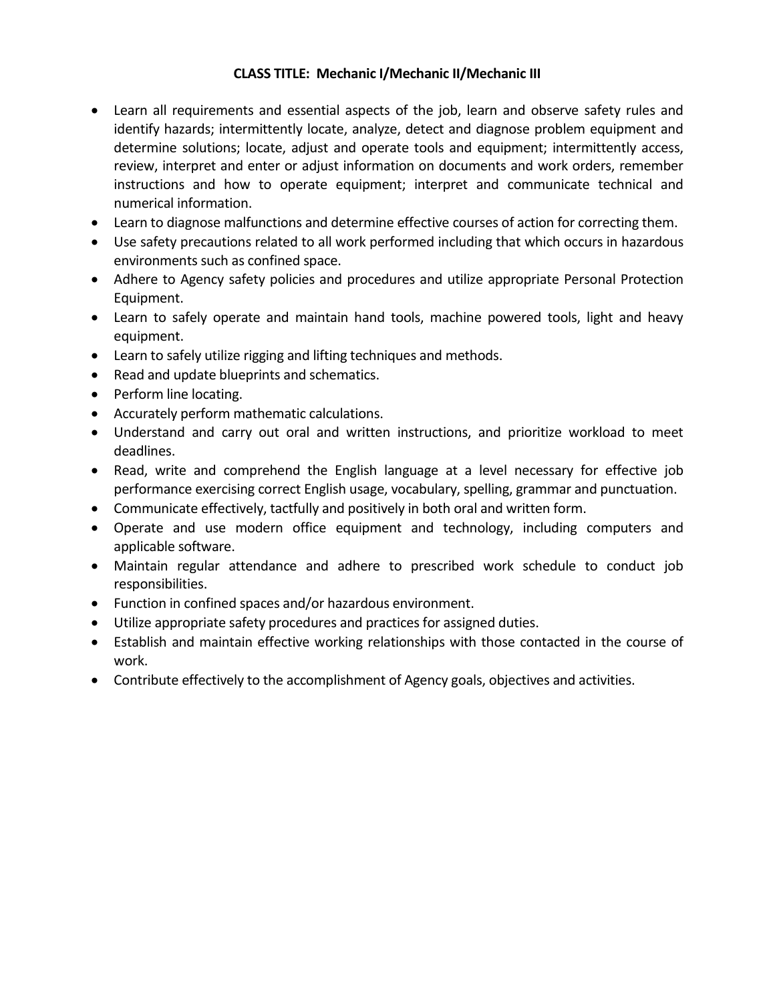- Learn all requirements and essential aspects of the job, learn and observe safety rules and identify hazards; intermittently locate, analyze, detect and diagnose problem equipment and determine solutions; locate, adjust and operate tools and equipment; intermittently access, review, interpret and enter or adjust information on documents and work orders, remember instructions and how to operate equipment; interpret and communicate technical and numerical information.
- Learn to diagnose malfunctions and determine effective courses of action for correcting them.
- Use safety precautions related to all work performed including that which occurs in hazardous environments such as confined space.
- Adhere to Agency safety policies and procedures and utilize appropriate Personal Protection Equipment.
- Learn to safely operate and maintain hand tools, machine powered tools, light and heavy equipment.
- Learn to safely utilize rigging and lifting techniques and methods.
- Read and update blueprints and schematics.
- Perform line locating.
- Accurately perform mathematic calculations.
- Understand and carry out oral and written instructions, and prioritize workload to meet deadlines.
- Read, write and comprehend the English language at a level necessary for effective job performance exercising correct English usage, vocabulary, spelling, grammar and punctuation.
- Communicate effectively, tactfully and positively in both oral and written form.
- Operate and use modern office equipment and technology, including computers and applicable software.
- Maintain regular attendance and adhere to prescribed work schedule to conduct job responsibilities.
- Function in confined spaces and/or hazardous environment.
- Utilize appropriate safety procedures and practices for assigned duties.
- Establish and maintain effective working relationships with those contacted in the course of work.
- Contribute effectively to the accomplishment of Agency goals, objectives and activities.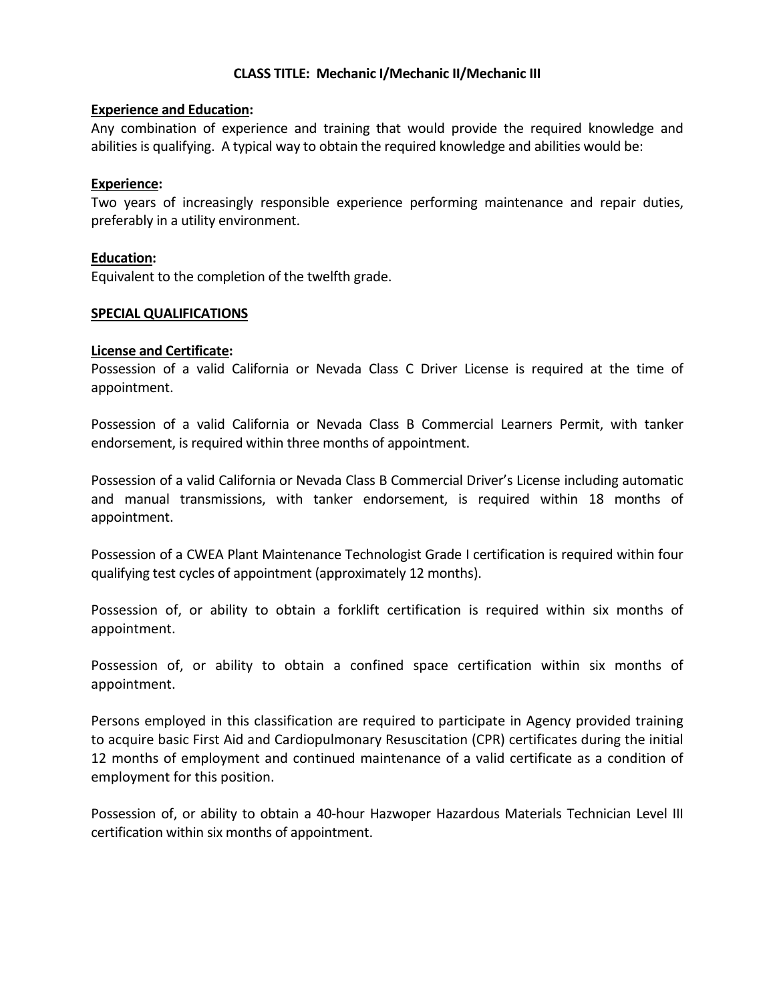### **Experience and Education:**

Any combination of experience and training that would provide the required knowledge and abilities is qualifying. A typical way to obtain the required knowledge and abilities would be:

### **Experience:**

Two years of increasingly responsible experience performing maintenance and repair duties, preferably in a utility environment.

### **Education:**

Equivalent to the completion of the twelfth grade.

### **SPECIAL QUALIFICATIONS**

### **License and Certificate:**

Possession of a valid California or Nevada Class C Driver License is required at the time of appointment.

Possession of a valid California or Nevada Class B Commercial Learners Permit, with tanker endorsement, is required within three months of appointment.

Possession of a valid California or Nevada Class B Commercial Driver's License including automatic and manual transmissions, with tanker endorsement, is required within 18 months of appointment.

Possession of a CWEA Plant Maintenance Technologist Grade I certification is required within four qualifying test cycles of appointment (approximately 12 months).

Possession of, or ability to obtain a forklift certification is required within six months of appointment.

Possession of, or ability to obtain a confined space certification within six months of appointment.

Persons employed in this classification are required to participate in Agency provided training to acquire basic First Aid and Cardiopulmonary Resuscitation (CPR) certificates during the initial 12 months of employment and continued maintenance of a valid certificate as a condition of employment for this position.

Possession of, or ability to obtain a 40-hour Hazwoper Hazardous Materials Technician Level III certification within six months of appointment.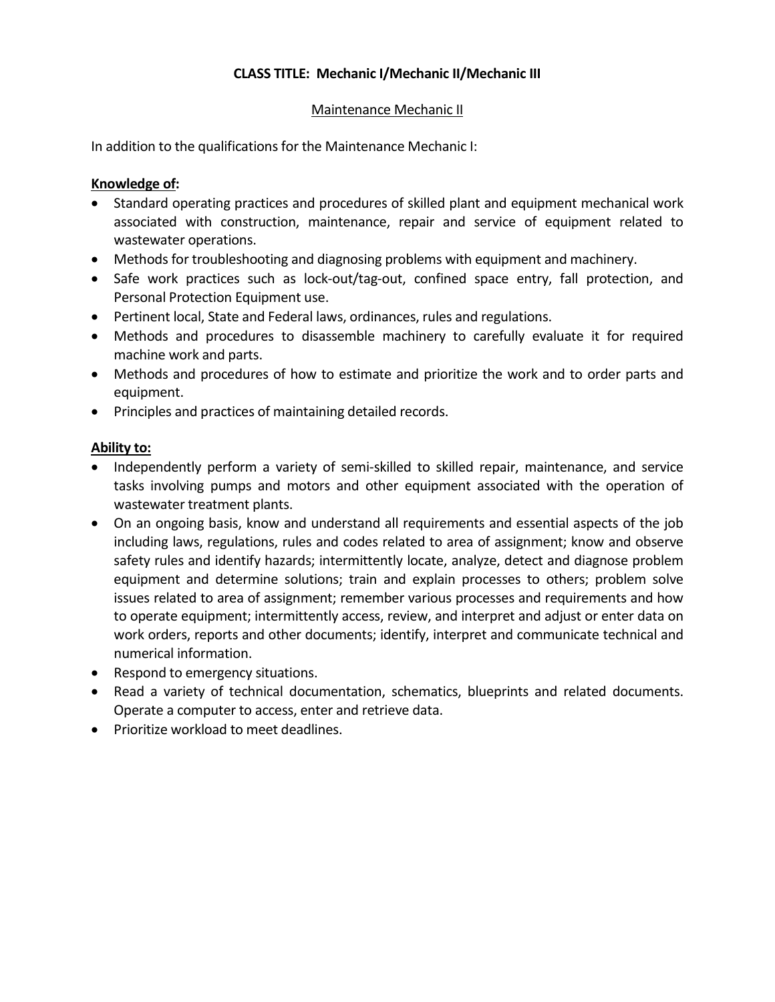## Maintenance Mechanic II

In addition to the qualifications for the Maintenance Mechanic I:

## **Knowledge of:**

- Standard operating practices and procedures of skilled plant and equipment mechanical work associated with construction, maintenance, repair and service of equipment related to wastewater operations.
- Methods for troubleshooting and diagnosing problems with equipment and machinery.
- Safe work practices such as lock-out/tag-out, confined space entry, fall protection, and Personal Protection Equipment use.
- Pertinent local, State and Federal laws, ordinances, rules and regulations.
- Methods and procedures to disassemble machinery to carefully evaluate it for required machine work and parts.
- Methods and procedures of how to estimate and prioritize the work and to order parts and equipment.
- Principles and practices of maintaining detailed records.

## **Ability to:**

- Independently perform a variety of semi-skilled to skilled repair, maintenance, and service tasks involving pumps and motors and other equipment associated with the operation of wastewater treatment plants.
- On an ongoing basis, know and understand all requirements and essential aspects of the job including laws, regulations, rules and codes related to area of assignment; know and observe safety rules and identify hazards; intermittently locate, analyze, detect and diagnose problem equipment and determine solutions; train and explain processes to others; problem solve issues related to area of assignment; remember various processes and requirements and how to operate equipment; intermittently access, review, and interpret and adjust or enter data on work orders, reports and other documents; identify, interpret and communicate technical and numerical information.
- Respond to emergency situations.
- Read a variety of technical documentation, schematics, blueprints and related documents. Operate a computer to access, enter and retrieve data.
- Prioritize workload to meet deadlines.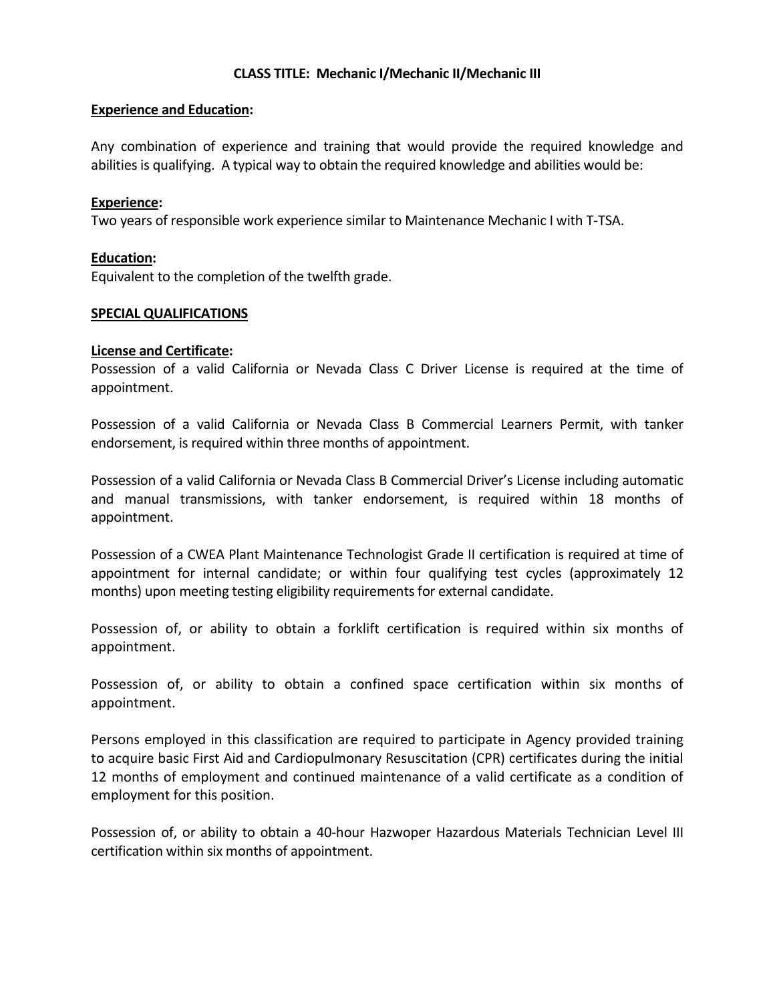### **Experience and Education:**

Any combination of experience and training that would provide the required knowledge and abilities is qualifying. A typical way to obtain the required knowledge and abilities would be:

### **Experience:**

Two years of responsible work experience similar to Maintenance Mechanic I with T-TSA.

### **Education:**

Equivalent to the completion of the twelfth grade.

#### **SPECIAL QUALIFICATIONS**

### **License and Certificate:**

Possession of a valid California or Nevada Class C Driver License is required at the time of appointment.

Possession of a valid California or Nevada Class B Commercial Learners Permit, with tanker endorsement, is required within three months of appointment.

Possession of a valid California or Nevada Class B Commercial Driver's License including automatic and manual transmissions, with tanker endorsement, is required within 18 months of appointment.

Possession of a CWEA Plant Maintenance Technologist Grade II certification is required at time of appointment for internal candidate; or within four qualifying test cycles (approximately 12 months) upon meeting testing eligibility requirements for external candidate.

Possession of, or ability to obtain a forklift certification is required within six months of appointment.

Possession of, or ability to obtain a confined space certification within six months of appointment.

Persons employed in this classification are required to participate in Agency provided training to acquire basic First Aid and Cardiopulmonary Resuscitation (CPR) certificates during the initial 12 months of employment and continued maintenance of a valid certificate as a condition of employment for this position.

Possession of, or ability to obtain a 40-hour Hazwoper Hazardous Materials Technician Level III certification within six months of appointment.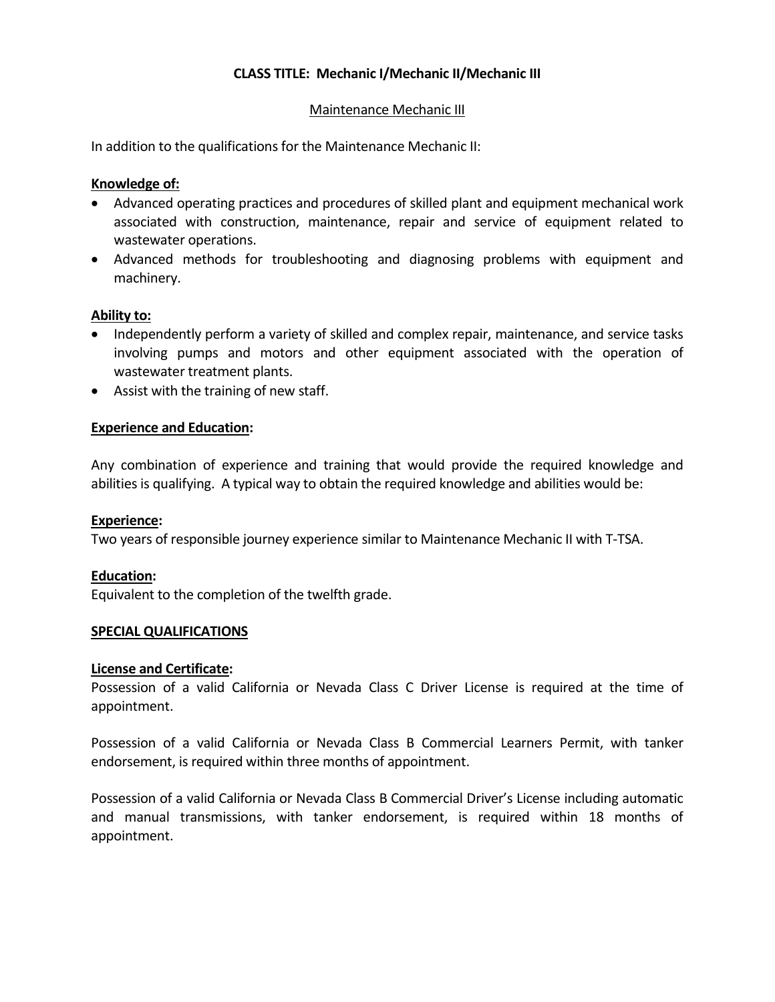### Maintenance Mechanic III

In addition to the qualifications for the Maintenance Mechanic II:

### **Knowledge of:**

- Advanced operating practices and procedures of skilled plant and equipment mechanical work associated with construction, maintenance, repair and service of equipment related to wastewater operations.
- Advanced methods for troubleshooting and diagnosing problems with equipment and machinery.

#### **Ability to:**

- Independently perform a variety of skilled and complex repair, maintenance, and service tasks involving pumps and motors and other equipment associated with the operation of wastewater treatment plants.
- Assist with the training of new staff.

#### **Experience and Education:**

Any combination of experience and training that would provide the required knowledge and abilities is qualifying. A typical way to obtain the required knowledge and abilities would be:

#### **Experience:**

Two years of responsible journey experience similar to Maintenance Mechanic II with T-TSA.

#### **Education:**

Equivalent to the completion of the twelfth grade.

#### **SPECIAL QUALIFICATIONS**

#### **License and Certificate:**

Possession of a valid California or Nevada Class C Driver License is required at the time of appointment.

Possession of a valid California or Nevada Class B Commercial Learners Permit, with tanker endorsement, is required within three months of appointment.

Possession of a valid California or Nevada Class B Commercial Driver's License including automatic and manual transmissions, with tanker endorsement, is required within 18 months of appointment.